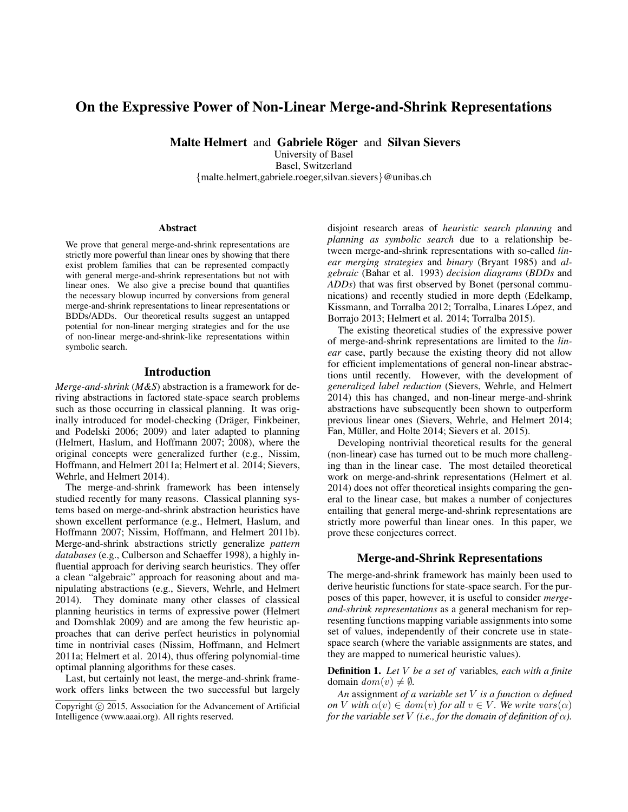# On the Expressive Power of Non-Linear Merge-and-Shrink Representations

Malte Helmert and Gabriele Röger and Silvan Sievers

University of Basel Basel, Switzerland {malte.helmert,gabriele.roeger,silvan.sievers}@unibas.ch

#### Abstract

We prove that general merge-and-shrink representations are strictly more powerful than linear ones by showing that there exist problem families that can be represented compactly with general merge-and-shrink representations but not with linear ones. We also give a precise bound that quantifies the necessary blowup incurred by conversions from general merge-and-shrink representations to linear representations or BDDs/ADDs. Our theoretical results suggest an untapped potential for non-linear merging strategies and for the use of non-linear merge-and-shrink-like representations within symbolic search.

# Introduction

*Merge-and-shrink* (*M&S*) abstraction is a framework for deriving abstractions in factored state-space search problems such as those occurring in classical planning. It was originally introduced for model-checking (Dräger, Finkbeiner, and Podelski 2006; 2009) and later adapted to planning (Helmert, Haslum, and Hoffmann 2007; 2008), where the original concepts were generalized further (e.g., Nissim, Hoffmann, and Helmert 2011a; Helmert et al. 2014; Sievers, Wehrle, and Helmert 2014).

The merge-and-shrink framework has been intensely studied recently for many reasons. Classical planning systems based on merge-and-shrink abstraction heuristics have shown excellent performance (e.g., Helmert, Haslum, and Hoffmann 2007; Nissim, Hoffmann, and Helmert 2011b). Merge-and-shrink abstractions strictly generalize *pattern databases* (e.g., Culberson and Schaeffer 1998), a highly influential approach for deriving search heuristics. They offer a clean "algebraic" approach for reasoning about and manipulating abstractions (e.g., Sievers, Wehrle, and Helmert 2014). They dominate many other classes of classical planning heuristics in terms of expressive power (Helmert and Domshlak 2009) and are among the few heuristic approaches that can derive perfect heuristics in polynomial time in nontrivial cases (Nissim, Hoffmann, and Helmert 2011a; Helmert et al. 2014), thus offering polynomial-time optimal planning algorithms for these cases.

Last, but certainly not least, the merge-and-shrink framework offers links between the two successful but largely disjoint research areas of *heuristic search planning* and *planning as symbolic search* due to a relationship between merge-and-shrink representations with so-called *linear merging strategies* and *binary* (Bryant 1985) and *algebraic* (Bahar et al. 1993) *decision diagrams* (*BDDs* and *ADDs*) that was first observed by Bonet (personal communications) and recently studied in more depth (Edelkamp, Kissmann, and Torralba 2012; Torralba, Linares López, and Borrajo 2013; Helmert et al. 2014; Torralba 2015).

The existing theoretical studies of the expressive power of merge-and-shrink representations are limited to the *linear* case, partly because the existing theory did not allow for efficient implementations of general non-linear abstractions until recently. However, with the development of *generalized label reduction* (Sievers, Wehrle, and Helmert 2014) this has changed, and non-linear merge-and-shrink abstractions have subsequently been shown to outperform previous linear ones (Sievers, Wehrle, and Helmert 2014; Fan, Müller, and Holte 2014; Sievers et al. 2015).

Developing nontrivial theoretical results for the general (non-linear) case has turned out to be much more challenging than in the linear case. The most detailed theoretical work on merge-and-shrink representations (Helmert et al. 2014) does not offer theoretical insights comparing the general to the linear case, but makes a number of conjectures entailing that general merge-and-shrink representations are strictly more powerful than linear ones. In this paper, we prove these conjectures correct.

### Merge-and-Shrink Representations

The merge-and-shrink framework has mainly been used to derive heuristic functions for state-space search. For the purposes of this paper, however, it is useful to consider *mergeand-shrink representations* as a general mechanism for representing functions mapping variable assignments into some set of values, independently of their concrete use in statespace search (where the variable assignments are states, and they are mapped to numerical heuristic values).

Definition 1. *Let* V *be a set of* variables*, each with a finite* domain  $dom(v) \neq \emptyset$ .

*An* assignment *of a variable set* V *is a function* α *defined on V with*  $\alpha(v) \in dom(v)$  *for all*  $v \in V$ *. We write vars*( $\alpha$ ) *for the variable set* V *(i.e., for the domain of definition of*  $\alpha$ *).* 

Copyright  $\odot$  2015, Association for the Advancement of Artificial Intelligence (www.aaai.org). All rights reserved.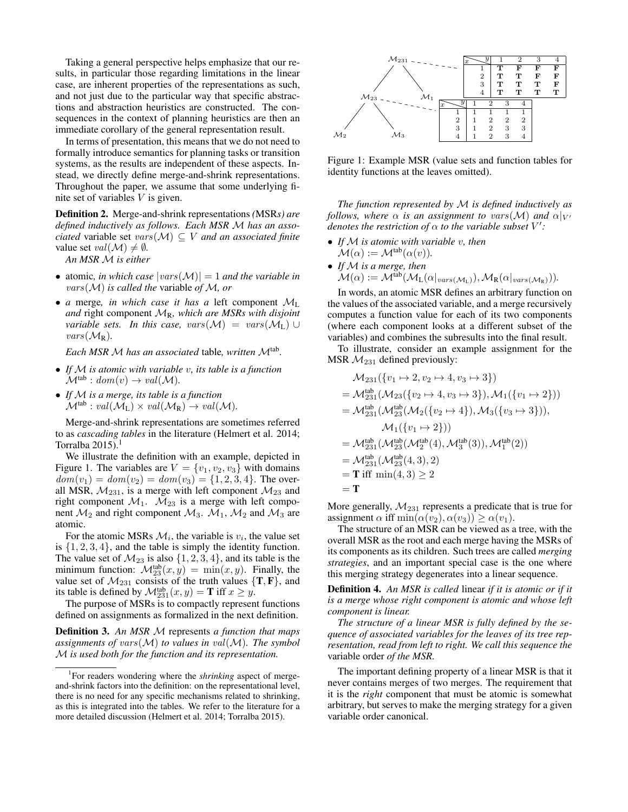Taking a general perspective helps emphasize that our results, in particular those regarding limitations in the linear case, are inherent properties of the representations as such, and not just due to the particular way that specific abstractions and abstraction heuristics are constructed. The consequences in the context of planning heuristics are then an immediate corollary of the general representation result.

In terms of presentation, this means that we do not need to formally introduce semantics for planning tasks or transition systems, as the results are independent of these aspects. Instead, we directly define merge-and-shrink representations. Throughout the paper, we assume that some underlying finite set of variables  $V$  is given.

Definition 2. Merge-and-shrink representations *(*MSR*s) are defined inductively as follows. Each MSR* M *has an associated* variable set  $vars(M) \subseteq V$  *and an associated finite* value set  $val(\mathcal{M}) \neq \emptyset$ .

*An MSR* M *is either*

- atomic, in which case  $|vars(M)| = 1$  and the variable in vars(M) *is called the* variable *of* M*, or*
- *a* merge*, in which case it has a* left component M<sup>L</sup> *and* right component  $\mathcal{M}_R$ , which are MSRs with disjoint *variable sets. In this case, vars* $(\mathcal{M}) = \text{vars}(\mathcal{M}_L) \cup$  $vars(M_{R})$ .

*Each MSR* <sup>M</sup> *has an associated* table*, written* <sup>M</sup>tab *.*

- *If* M *is atomic with variable* v*, its table is a function*  $\mathcal{M}^{\text{tab}}: dom(v) \rightarrow val(\mathcal{M}).$
- *If* M *is a merge, its table is a function*  $\mathcal{M}^{\text{tab}}: val(\mathcal{M}_L) \times val(\mathcal{M}_R) \rightarrow val(\mathcal{M})$ .

Merge-and-shrink representations are sometimes referred to as *cascading tables* in the literature (Helmert et al. 2014; Torralba  $2015$ ).<sup>1</sup>

We illustrate the definition with an example, depicted in Figure 1. The variables are  $V = \{v_1, v_2, v_3\}$  with domains  $dom(v_1) = dom(v_2) = dom(v_3) = \{1, 2, 3, 4\}.$  The overall MSR,  $M_{231}$ , is a merge with left component  $M_{23}$  and right component  $M_1$ .  $M_{23}$  is a merge with left component  $\mathcal{M}_2$  and right component  $\mathcal{M}_3$ .  $\mathcal{M}_1$ ,  $\mathcal{M}_2$  and  $\mathcal{M}_3$  are atomic.

For the atomic MSRs  $\mathcal{M}_i$ , the variable is  $v_i$ , the value set is  $\{1, 2, 3, 4\}$ , and the table is simply the identity function. The value set of  $\mathcal{M}_{23}$  is also  $\{1, 2, 3, 4\}$ , and its table is the minimum function:  $\mathcal{M}_{23}^{\text{tab}}(x,y) = \min(x,y)$ . Finally, the value set of  $\mathcal{M}_{231}$  consists of the truth values  $\{T, F\}$ , and its table is defined by  $\mathcal{M}_{231}^{\text{tab}}(x, y) = \mathbf{T}$  iff  $x \ge y$ .

The purpose of MSRs is to compactly represent functions defined on assignments as formalized in the next definition.

Definition 3. *An MSR* M represents *a function that maps assignments of vars* $(M)$  *to values in val* $(M)$ *. The symbol* M *is used both for the function and its representation.*



Figure 1: Example MSR (value sets and function tables for identity functions at the leaves omitted).

*The function represented by* M *is defined inductively as follows, where*  $\alpha$  *is an assignment to vars*( $\mathcal{M}$ ) *and*  $\alpha|_{V}$ *denotes the restriction of*  $\alpha$  *to the variable subset*  $V'$ :

- *If* M *is atomic with variable* v*, then*  $\mathcal{M}(\alpha) := \mathcal{M}^{\text{tab}}(\alpha(v)).$
- *If* M *is a merge, then*  $\mathcal{M}(\alpha) := \mathcal{M}^{\text{lab}}(\mathcal{M}_{\text{L}}(\alpha|_{vars(\mathcal{M}_{\text{L}})}), \mathcal{M}_{\text{R}}(\alpha|_{vars(\mathcal{M}_{\text{R}})})).$

In words, an atomic MSR defines an arbitrary function on the values of the associated variable, and a merge recursively computes a function value for each of its two components (where each component looks at a different subset of the variables) and combines the subresults into the final result.

To illustrate, consider an example assignment for the MSR  $M_{231}$  defined previously:

$$
\mathcal{M}_{231}(\{v_1 \mapsto 2, v_2 \mapsto 4, v_3 \mapsto 3\})
$$
\n
$$
= \mathcal{M}_{231}^{\text{tab}}(\mathcal{M}_{23}(\{v_2 \mapsto 4, v_3 \mapsto 3\}), \mathcal{M}_1(\{v_1 \mapsto 2\}))
$$
\n
$$
= \mathcal{M}_{231}^{\text{tab}}(\mathcal{M}_{23}^{\text{lab}}(\mathcal{M}_2(\{v_2 \mapsto 4\}), \mathcal{M}_3(\{v_3 \mapsto 3\})),
$$
\n
$$
\mathcal{M}_1(\{v_1 \mapsto 2\}))
$$
\n
$$
= \mathcal{M}_{231}^{\text{lab}}(\mathcal{M}_{23}^{\text{tab}}(\mathcal{M}_2^{\text{lab}}(4), \mathcal{M}_3^{\text{tab}}(3)), \mathcal{M}_1^{\text{tab}}(2))
$$
\n
$$
= \mathcal{M}_{231}^{\text{lab}}(\mathcal{M}_{23}^{\text{lab}}(4, 3), 2)
$$
\n
$$
= \text{T iff min}(4, 3) \ge 2
$$
\n
$$
= \text{T}
$$

More generally,  $M_{231}$  represents a predicate that is true for assignment  $\alpha$  iff min $(\alpha(v_2), \alpha(v_3)) \geq \alpha(v_1)$ .

The structure of an MSR can be viewed as a tree, with the overall MSR as the root and each merge having the MSRs of its components as its children. Such trees are called *merging strategies*, and an important special case is the one where this merging strategy degenerates into a linear sequence.

Definition 4. *An MSR is called* linear *if it is atomic or if it is a merge whose right component is atomic and whose left component is linear.*

*The structure of a linear MSR is fully defined by the sequence of associated variables for the leaves of its tree representation, read from left to right. We call this sequence the* variable order *of the MSR.*

The important defining property of a linear MSR is that it never contains merges of two merges. The requirement that it is the *right* component that must be atomic is somewhat arbitrary, but serves to make the merging strategy for a given variable order canonical.

<sup>&</sup>lt;sup>1</sup>For readers wondering where the *shrinking* aspect of mergeand-shrink factors into the definition: on the representational level, there is no need for any specific mechanisms related to shrinking, as this is integrated into the tables. We refer to the literature for a more detailed discussion (Helmert et al. 2014; Torralba 2015).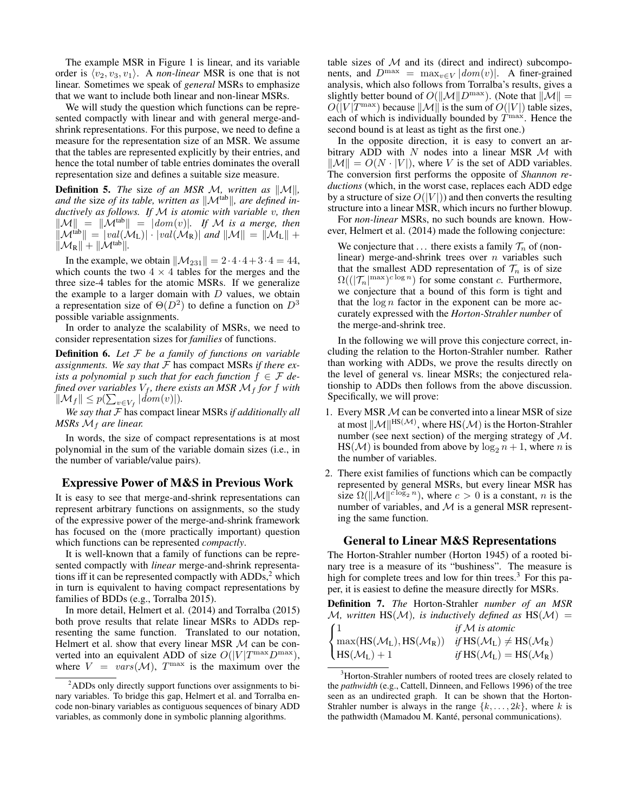The example MSR in Figure 1 is linear, and its variable order is  $\langle v_2, v_3, v_1 \rangle$ . A *non-linear* MSR is one that is not linear. Sometimes we speak of *general* MSRs to emphasize that we want to include both linear and non-linear MSRs.

We will study the question which functions can be represented compactly with linear and with general merge-andshrink representations. For this purpose, we need to define a measure for the representation size of an MSR. We assume that the tables are represented explicitly by their entries, and hence the total number of table entries dominates the overall representation size and defines a suitable size measure.

**Definition 5.** *The* size *of an MSR M, written as*  $\|\mathcal{M}\|$ *,* and the size of its table, written as  $\|\mathcal{M}^{tab}\|$ , are defined in*ductively as follows. If* M *is atomic with variable* v*, then*  $\|\mathcal{M}\| = \|\mathcal{M}^{\text{tab}}\| = |dom(v)|$ . If M is a merge, then  $\|\mathcal{M}^{iab}\| = |val(\mathcal{M}_L)| \cdot |val(\mathcal{M}_R)|$  and  $\|\mathcal{M}\| = \|\mathcal{M}_L\| +$  $\|\mathcal{M}_R\| + \|\mathcal{M}^{\text{tab}}\|.$ 

In the example, we obtain  $\|\mathcal{M}_{231}\| = 2 \cdot 4 \cdot 4 + 3 \cdot 4 = 44$ , which counts the two  $4 \times 4$  tables for the merges and the three size-4 tables for the atomic MSRs. If we generalize the example to a larger domain with  $D$  values, we obtain a representation size of  $\Theta(D^2)$  to define a function on  $D^3$ possible variable assignments.

In order to analyze the scalability of MSRs, we need to consider representation sizes for *families* of functions.

Definition 6. *Let* F *be a family of functions on variable assignments. We say that* F has compact MSRs *if there exists a polynomial p such that for each function*  $f \in \mathcal{F}$  *defined over variables*  $V_f$ *, there exists an MSR*  $\mathcal{M}_f$  *for f with*  $\|\mathcal{M}_f\| \leq p(\sum_{v \in V_f} |dom(v)|).$ 

*We say that* F has compact linear MSRs *if additionally all MSRs*  $M_f$  *are linear.* 

In words, the size of compact representations is at most polynomial in the sum of the variable domain sizes (i.e., in the number of variable/value pairs).

### Expressive Power of M&S in Previous Work

It is easy to see that merge-and-shrink representations can represent arbitrary functions on assignments, so the study of the expressive power of the merge-and-shrink framework has focused on the (more practically important) question which functions can be represented *compactly*.

It is well-known that a family of functions can be represented compactly with *linear* merge-and-shrink representations iff it can be represented compactly with  $ADDs<sub>1</sub><sup>2</sup>$  which in turn is equivalent to having compact representations by families of BDDs (e.g., Torralba 2015).

In more detail, Helmert et al. (2014) and Torralba (2015) both prove results that relate linear MSRs to ADDs representing the same function. Translated to our notation, Helmert et al. show that every linear MSR  $M$  can be converted into an equivalent ADD of size  $O(|V|T^{\max}D^{\max})$ , where  $V = vars(M)$ ,  $T^{max}$  is the maximum over the

table sizes of  $M$  and its (direct and indirect) subcomponents, and  $D^{\max} = \max_{v \in V} |dom(v)|$ . A finer-grained analysis, which also follows from Torralba's results, gives a slightly better bound of  $O(||\mathcal{M}||D^{\max})$ . (Note that  $||\mathcal{M}|| =$  $O(|V|T^{\max})$  because  $\|\mathcal{M}\|$  is the sum of  $O(|V|)$  table sizes, each of which is individually bounded by  $T<sup>max</sup>$ . Hence the second bound is at least as tight as the first one.)

In the opposite direction, it is easy to convert an arbitrary ADD with  $N$  nodes into a linear MSR  $M$  with  $\|\mathcal{M}\| = O(N \cdot |V|)$ , where V is the set of ADD variables. The conversion first performs the opposite of *Shannon reductions* (which, in the worst case, replaces each ADD edge by a structure of size  $O(|V|)$  and then converts the resulting structure into a linear MSR, which incurs no further blowup.

For *non-linear* MSRs, no such bounds are known. However, Helmert et al. (2014) made the following conjecture:

We conjecture that ... there exists a family  $\mathcal{T}_n$  of (nonlinear) merge-and-shrink trees over  $n$  variables such that the smallest ADD representation of  $\mathcal{T}_n$  is of size  $\Omega((|\mathcal{T}_n|^{\max})^{c \log n})$  for some constant c. Furthermore, we conjecture that a bound of this form is tight and that the  $\log n$  factor in the exponent can be more accurately expressed with the *Horton-Strahler number* of the merge-and-shrink tree.

In the following we will prove this conjecture correct, including the relation to the Horton-Strahler number. Rather than working with ADDs, we prove the results directly on the level of general vs. linear MSRs; the conjectured relationship to ADDs then follows from the above discussion. Specifically, we will prove:

- 1. Every MSR  $M$  can be converted into a linear MSR of size at most  $\|\mathcal{M}\|^{HS(\mathcal{M})}$ , where  $\text{HS}(\mathcal{M})$  is the Horton-Strahler number (see next section) of the merging strategy of  $M$ .  $HS(\mathcal{M})$  is bounded from above by  $\log_2 n + 1$ , where n is the number of variables.
- 2. There exist families of functions which can be compactly represented by general MSRs, but every linear MSR has size  $\Omega(\|\mathcal{M}\|^{c \log_2 n})$ , where  $c > 0$  is a constant, n is the number of variables, and  $M$  is a general MSR representing the same function.

# General to Linear M&S Representations

The Horton-Strahler number (Horton 1945) of a rooted binary tree is a measure of its "bushiness". The measure is high for complete trees and low for thin trees. $3$  For this paper, it is easiest to define the measure directly for MSRs.

Definition 7. *The* Horton-Strahler *number of an MSR* M, written  $\text{HS}(\mathcal{M})$ , is inductively defined as  $\text{HS}(\mathcal{M}) =$  $(1)$ 1 *if* M *is atomic*

| $\sim$                                                                                                                  |                                                          |
|-------------------------------------------------------------------------------------------------------------------------|----------------------------------------------------------|
| $\left\{ \max(HS(\mathcal{M}_L), HS(\mathcal{M}_R)) \quad \text{if } HS(\mathcal{M}_L) \neq HS(\mathcal{M}_R) \right\}$ |                                                          |
| $HS(\mathcal{M}_L) + 1$                                                                                                 | if $\text{HS}(\mathcal{M}_L) = \text{HS}(\mathcal{M}_R)$ |

<sup>&</sup>lt;sup>3</sup>Horton-Strahler numbers of rooted trees are closely related to the *pathwidth* (e.g., Cattell, Dinneen, and Fellows 1996) of the tree seen as an undirected graph. It can be shown that the Horton-Strahler number is always in the range  $\{k, \ldots, 2k\}$ , where k is the pathwidth (Mamadou M. Kanté, personal communications).

<sup>&</sup>lt;sup>2</sup>ADDs only directly support functions over assignments to binary variables. To bridge this gap, Helmert et al. and Torralba encode non-binary variables as contiguous sequences of binary ADD variables, as commonly done in symbolic planning algorithms.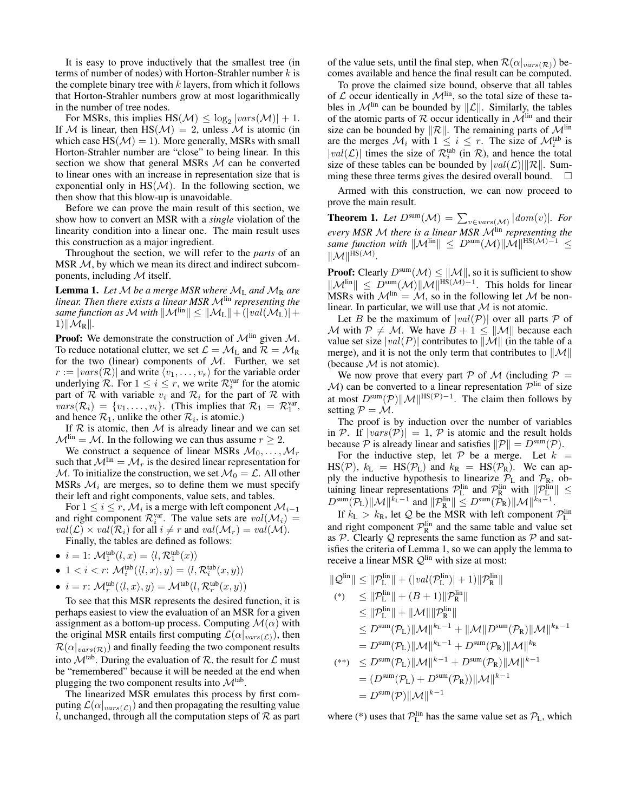It is easy to prove inductively that the smallest tree (in terms of number of nodes) with Horton-Strahler number  $k$  is the complete binary tree with  $k$  layers, from which it follows that Horton-Strahler numbers grow at most logarithmically in the number of tree nodes.

For MSRs, this implies  $\text{HS}(\mathcal{M}) \leq \log_2 |vars(\mathcal{M})| + 1$ . If M is linear, then  $HS(M) = 2$ , unless M is atomic (in which case  $HS(\mathcal{M}) = 1$ ). More generally, MSRs with small Horton-Strahler number are "close" to being linear. In this section we show that general MSRs  $M$  can be converted to linear ones with an increase in representation size that is exponential only in  $HS(\mathcal{M})$ . In the following section, we then show that this blow-up is unavoidable.

Before we can prove the main result of this section, we show how to convert an MSR with a *single* violation of the linearity condition into a linear one. The main result uses this construction as a major ingredient.

Throughout the section, we will refer to the *parts* of an MSR  $M$ , by which we mean its direct and indirect subcomponents, including  $M$  itself.

**Lemma 1.** Let M be a merge MSR where  $M_L$  and  $M_R$  are *linear. Then there exists a linear MSR M*<sup>lin</sup> *representing the same function as* M with  $||\mathcal{M}^{lin}|| \leq ||\mathcal{M}_L|| + (|val(\mathcal{M}_L)| +$  $1)\|\mathcal{M}_R\|$ .

**Proof:** We demonstrate the construction of  $\mathcal{M}^{\text{lin}}$  given  $\mathcal{M}$ . To reduce notational clutter, we set  $\mathcal{L} = \mathcal{M}_L$  and  $\mathcal{R} = \mathcal{M}_R$ for the two (linear) components of  $M$ . Further, we set  $r := |vars(\mathcal{R})|$  and write  $\langle v_1, \ldots, v_r \rangle$  for the variable order underlying  $\mathcal{R}$ . For  $1 \leq i \leq r$ , we write  $\mathcal{R}^{\text{var}}_i$  for the atomic part of  $R$  with variable  $v_i$  and  $R_i$  for the part of  $R$  with  $vars(\mathcal{R}_i) = \{v_1, \ldots, v_i\}.$  (This implies that  $\mathcal{R}_1 = \mathcal{R}_1^{var}$ , and hence  $\mathcal{R}_1$ , unlike the other  $\mathcal{R}_i$ , is atomic.)

If  $R$  is atomic, then  $M$  is already linear and we can set  $M<sup>lin</sup> = M$ . In the following we can thus assume  $r \geq 2$ .

We construct a sequence of linear MSRs  $M_0, \ldots, M_r$ such that  $\mathcal{M}^{\text{lin}} = \mathcal{M}_r$  is the desired linear representation for M. To initialize the construction, we set  $\mathcal{M}_0 = \mathcal{L}$ . All other MSRs  $\mathcal{M}_i$  are merges, so to define them we must specify their left and right components, value sets, and tables.

For  $1 \le i \le r$ ,  $\mathcal{M}_i$  is a merge with left component  $\mathcal{M}_{i-1}$ and right component  $\mathcal{R}_i^{\text{var}}$ . The value sets are  $val(\mathcal{M}_i)$  =  $val(\mathcal{L}) \times val(\mathcal{R}_i)$  for all  $i \neq r$  and  $val(\mathcal{M}_r) = val(\mathcal{M})$ .

Finally, the tables are defined as follows:

- $i = 1: \mathcal{M}_1^{\text{tab}}(l, x) = \langle l, \mathcal{R}_1^{\text{tab}}(x) \rangle$
- 1 <  $i < r$ :  $\mathcal{M}_i^{\text{tab}}(\langle l, x \rangle, y) = \langle l, \mathcal{R}_i^{\text{tab}}(x, y) \rangle$
- $i = r: \mathcal{M}_r^{\text{tab}}(\langle l, x \rangle, y) = \mathcal{M}^{\text{tab}}(l, \mathcal{R}_r^{\text{tab}}(x, y))$

To see that this MSR represents the desired function, it is perhaps easiest to view the evaluation of an MSR for a given assignment as a bottom-up process. Computing  $\mathcal{M}(\alpha)$  with the original MSR entails first computing  $\mathcal{L}(\alpha|_{vars(\mathcal{L})})$ , then  $\mathcal{R}(\alpha|_{vars(\mathcal{R})})$  and finally feeding the two component results into  $\mathcal{M}^{\text{tab}}$ . During the evaluation of  $\mathcal{R}$ , the result for  $\mathcal{L}$  must be "remembered" because it will be needed at the end when plugging the two component results into  $\mathcal{M}^{\text{tab}}$ .

The linearized MSR emulates this process by first computing  $\mathcal{L}(\alpha|_{vars(\mathcal{L})})$  and then propagating the resulting value l, unchanged, through all the computation steps of  $\mathcal R$  as part of the value sets, until the final step, when  $\mathcal{R}(\alpha|_{vars(\mathcal{R})})$  becomes available and hence the final result can be computed.

To prove the claimed size bound, observe that all tables of  $\mathcal L$  occur identically in  $\mathcal M^{\text{lin}}$ , so the total size of these tables in  $\mathcal{M}^{\text{lin}}$  can be bounded by  $\|\mathcal{L}\|$ . Similarly, the tables of the atomic parts of  $R$  occur identically in  $M<sup>lin</sup>$  and their size can be bounded by  $\|\mathcal{R}\|$ . The remaining parts of  $\mathcal{M}^{\text{lin}}$ are the merges  $\mathcal{M}_i$  with  $1 \leq i \leq r$ . The size of  $\mathcal{M}_i^{\text{tab}}$  is  $|val(\mathcal{L})|$  times the size of  $\mathcal{R}_i^{\text{tab}}$  (in  $\mathcal{R}$ ), and hence the total size of these tables can be bounded by  $|val(\mathcal{L})| ||\mathcal{R}||$ . Sum-<br>ming these three terms gives the desired overall bound. ming these three terms gives the desired overall bound.

Armed with this construction, we can now proceed to prove the main result.

**Theorem 1.** Let  $D^{\text{sum}}(\mathcal{M}) = \sum_{v \in vars(\mathcal{M})} |dom(v)|$ . For *every MSR* <sup>M</sup> *there is a linear MSR* <sup>M</sup>lin *representing the same function with*  $||\mathcal{M}^{lin}|| \leq D^{sum}(\mathcal{M})||\mathcal{M}||^{HS(\mathcal{M})-1} \leq$  $\|\mathcal{M}\|^{HS(\mathcal{M})}.$ 

**Proof:** Clearly  $D^{\text{sum}}(\mathcal{M}) \leq ||\mathcal{M}||$ , so it is sufficient to show  $\|\mathcal{M}^{\text{lin}}\| \leq D^{\text{sum}}(\mathcal{M})\|\mathcal{M}\|^{\text{HS}(\mathcal{M})-1}$ . This holds for linear MSRs with  $\mathcal{M}^{\text{lin}} = \mathcal{M}$ , so in the following let  $\mathcal M$  be nonlinear. In particular, we will use that  $M$  is not atomic.

Let B be the maximum of  $|val(\mathcal{P})|$  over all parts P of M with  $P \neq M$ . We have  $B + 1 \leq ||M||$  because each value set size  $|val(P)|$  contributes to  $\|\mathcal{M}\|$  (in the table of a merge), and it is not the only term that contributes to  $\|\mathcal{M}\|$ (because  $M$  is not atomic).

We now prove that every part P of M (including  $P =$  $M$ ) can be converted to a linear representation  $\mathcal{P}^{\text{lin}}$  of size at most  $D^{sum}(\mathcal{P})\|\mathcal{M}\|^{HS(\mathcal{P})-1}$ . The claim then follows by setting  $P = M$ .

The proof is by induction over the number of variables in P. If  $|vars(\mathcal{P})| = 1$ , P is atomic and the result holds because  $\mathcal P$  is already linear and satisfies  $\|\mathcal P\| = D^{\text{sum}}(\mathcal P)$ .

For the inductive step, let  $P$  be a merge. Let  $k =$  $\text{HS}(\mathcal{P})$ ,  $k_L = \text{HS}(\mathcal{P}_L)$  and  $k_R = \text{HS}(\mathcal{P}_R)$ . We can apply the inductive hypothesis to linearize  $P_L$  and  $P_R$ , obtaining linear representations  $\mathcal{P}_L^{\text{lin}}$  and  $\mathcal{P}_R^{\text{lin}}$  with  $||\mathcal{P}_L^{\text{lin}}|| \leq D^{\text{sum}}(\mathcal{P}_L)||\mathcal{M}||^{k_L-1}$  and  $||\mathcal{P}_R^{\text{lin}}|| \leq D^{\text{sum}}(\mathcal{P}_R)||\mathcal{M}||^{k_R-1}$ .

If  $k_L > k_R$ , let Q be the MSR with left component  $\mathcal{P}_L^{\text{lin}}$ and right component  $\mathcal{P}_R^{\text{lin}}$  and the same table and value set as  $P$ . Clearly  $Q$  represents the same function as  $P$  and satisfies the criteria of Lemma 1, so we can apply the lemma to receive a linear MSR  $\mathcal{Q}^{\text{lin}}$  with size at most:

$$
\|\mathcal{Q}^{\text{lin}}\| \leq \|\mathcal{P}^{\text{lin}}_{\text{L}}\| + (|val(\mathcal{P}^{\text{lin}}_{\text{L}})| + 1)\|\mathcal{P}^{\text{lin}}_{\text{R}}\|
$$
  
\n(\*) 
$$
\leq \|\mathcal{P}^{\text{lin}}_{\text{L}}\| + (B + 1)\|\mathcal{P}^{\text{lin}}_{\text{R}}\|
$$
  
\n
$$
\leq \|\mathcal{P}^{\text{lin}}_{\text{L}}\| + \|\mathcal{M}\| \|\mathcal{P}^{\text{lin}}_{\text{R}}\|
$$
  
\n
$$
\leq D^{\text{sum}}(\mathcal{P}_{\text{L}})\|\mathcal{M}\|^{k_{\text{L}}-1} + \|\mathcal{M}\|D^{\text{sum}}(\mathcal{P}_{\text{R}})\|\mathcal{M}\|^{k_{\text{R}}-1}
$$
  
\n
$$
= D^{\text{sum}}(\mathcal{P}_{\text{L}})\|\mathcal{M}\|^{k_{\text{L}}-1} + D^{\text{sum}}(\mathcal{P}_{\text{R}})\|\mathcal{M}\|^{k_{\text{R}}}
$$
  
\n(\*\*) 
$$
\leq D^{\text{sum}}(\mathcal{P}_{\text{L}})\|\mathcal{M}\|^{k-1} + D^{\text{sum}}(\mathcal{P}_{\text{R}})\|\mathcal{M}\|^{k-1}
$$
  
\n
$$
= (D^{\text{sum}}(\mathcal{P}_{\text{L}}) + D^{\text{sum}}(\mathcal{P}_{\text{R}}))\|\mathcal{M}\|^{k-1}
$$
  
\n
$$
= D^{\text{sum}}(\mathcal{P})\|\mathcal{M}\|^{k-1}
$$

where (\*) uses that  $P_{\text{L}}^{\text{lin}}$  has the same value set as  $P_{\text{L}}$ , which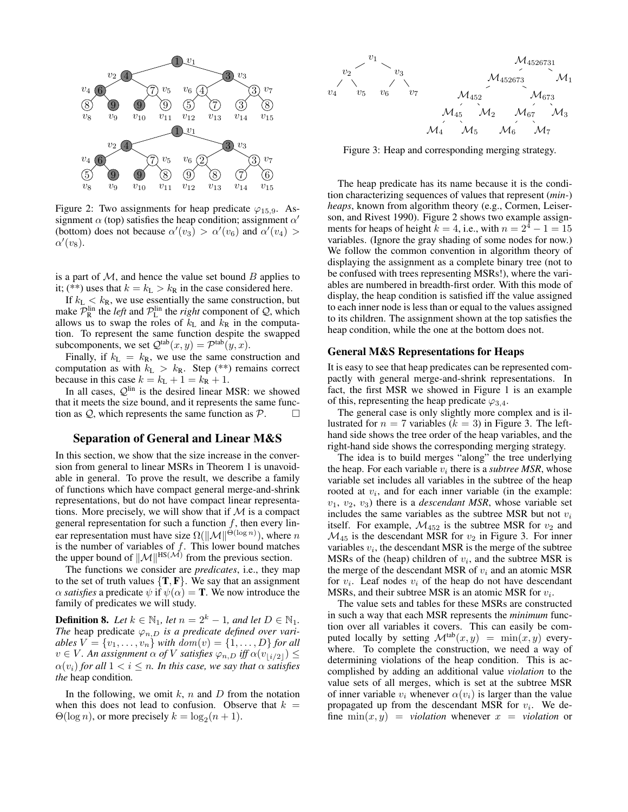

Figure 2: Two assignments for heap predicate  $\varphi_{15.9}$ . Assignment  $\alpha$  (top) satisfies the heap condition; assignment  $\alpha'$ (bottom) does not because  $\alpha'(v_3) > \alpha'(v_6)$  and  $\alpha'(v_4) >$  $\alpha^{\prime}(v_{8}).$ 

is a part of  $M$ , and hence the value set bound  $B$  applies to it; (\*\*) uses that  $k = k_L > k_R$  in the case considered here.

If  $k_L < k_R$ , we use essentially the same construction, but make  $\mathcal{P}_R^{\text{lin}}$  the *left* and  $\mathcal{P}_L^{\text{lin}}$  the *right* component of  $\mathcal{Q}$ , which allows us to swap the roles of  $k<sub>L</sub>$  and  $\overline{k}<sub>R</sub>$  in the computation. To represent the same function despite the swapped subcomponents, we set  $\mathcal{Q}^{\text{tab}}(x, y) = \mathcal{P}^{\text{tab}}(y, x)$ .

Finally, if  $k_L = k_R$ , we use the same construction and computation as with  $k_L > k_R$ . Step (\*\*) remains correct because in this case  $k = k_L + 1 = k_R + 1$ .

In all cases,  $\mathcal{Q}^{\text{lin}}$  is the desired linear MSR: we showed that it meets the size bound, and it represents the same function as  $\mathcal{Q}$ , which represents the same function as  $\mathcal{P}$ .  $\Box$ 

# Separation of General and Linear M&S

In this section, we show that the size increase in the conversion from general to linear MSRs in Theorem 1 is unavoidable in general. To prove the result, we describe a family of functions which have compact general merge-and-shrink representations, but do not have compact linear representations. More precisely, we will show that if  $M$  is a compact general representation for such a function  $f$ , then every linear representation must have size  $\Omega(\|\mathcal{M}\|^{\Theta(\log n)})$ , where n is the number of variables of  $f$ . This lower bound matches the upper bound of  $||\mathcal{M}||^{\text{HS}(\mathcal{M})}$  from the previous section.

The functions we consider are *predicates*, i.e., they map to the set of truth values  $\{T, F\}$ . We say that an assignment  $\alpha$  *satisfies* a predicate  $\psi$  if  $\psi(\alpha) = \mathbf{T}$ . We now introduce the family of predicates we will study.

**Definition 8.** *Let*  $k \in \mathbb{N}_1$ *, let*  $n = 2^k - 1$ *, and let*  $D \in \mathbb{N}_1$ *. The* heap predicate  $\varphi_{n,D}$  *is a predicate defined over variables*  $V = \{v_1, \ldots, v_n\}$  *with*  $dom(v) = \{1, \ldots, D\}$  *for all*  $v \in V$ *. An assignment*  $\alpha$  *of* V *satisfies*  $\varphi_{n,D}$  *iff*  $\alpha(v_{\lfloor i/2 \rfloor}) \leq$  $\alpha(v_i)$  *for all*  $1 < i \leq n$ *. In this case, we say that*  $\alpha$  *satisfies the* heap condition*.*

In the following, we omit  $k$ ,  $n$  and  $D$  from the notation when this does not lead to confusion. Observe that  $k =$  $\Theta(\log n)$ , or more precisely  $k = \log_2(n + 1)$ .



Figure 3: Heap and corresponding merging strategy.

The heap predicate has its name because it is the condition characterizing sequences of values that represent (*min-*) *heaps*, known from algorithm theory (e.g., Cormen, Leiserson, and Rivest 1990). Figure 2 shows two example assignments for heaps of height  $k = 4$ , i.e., with  $n = 2^4 - 1 = 15$ variables. (Ignore the gray shading of some nodes for now.) We follow the common convention in algorithm theory of displaying the assignment as a complete binary tree (not to be confused with trees representing MSRs!), where the variables are numbered in breadth-first order. With this mode of display, the heap condition is satisfied iff the value assigned to each inner node is less than or equal to the values assigned to its children. The assignment shown at the top satisfies the heap condition, while the one at the bottom does not.

#### General M&S Representations for Heaps

It is easy to see that heap predicates can be represented compactly with general merge-and-shrink representations. In fact, the first MSR we showed in Figure 1 is an example of this, representing the heap predicate  $\varphi_{3,4}$ .

The general case is only slightly more complex and is illustrated for  $n = 7$  variables ( $k = 3$ ) in Figure 3. The lefthand side shows the tree order of the heap variables, and the right-hand side shows the corresponding merging strategy.

The idea is to build merges "along" the tree underlying the heap. For each variable  $v_i$  there is a *subtree MSR*, whose variable set includes all variables in the subtree of the heap rooted at  $v_i$ , and for each inner variable (in the example:  $v_1, v_2, v_3$ ) there is a *descendant MSR*, whose variable set includes the same variables as the subtree MSR but not  $v_i$ itself. For example,  $\mathcal{M}_{452}$  is the subtree MSR for  $v_2$  and  $\mathcal{M}_{45}$  is the descendant MSR for  $v_2$  in Figure 3. For inner variables  $v_i$ , the descendant MSR is the merge of the subtree MSRs of the (heap) children of  $v_i$ , and the subtree MSR is the merge of the descendant MSR of  $v_i$  and an atomic MSR for  $v_i$ . Leaf nodes  $v_i$  of the heap do not have descendant MSRs, and their subtree MSR is an atomic MSR for  $v_i$ .

The value sets and tables for these MSRs are constructed in such a way that each MSR represents the *minimum* function over all variables it covers. This can easily be computed locally by setting  $\mathcal{M}^{tab}(x, y) = \min(x, y)$  everywhere. To complete the construction, we need a way of determining violations of the heap condition. This is accomplished by adding an additional value *violation* to the value sets of all merges, which is set at the subtree MSR of inner variable  $v_i$  whenever  $\alpha(v_i)$  is larger than the value propagated up from the descendant MSR for  $v_i$ . We define  $\min(x, y) =$  *violation* whenever  $x =$  *violation* or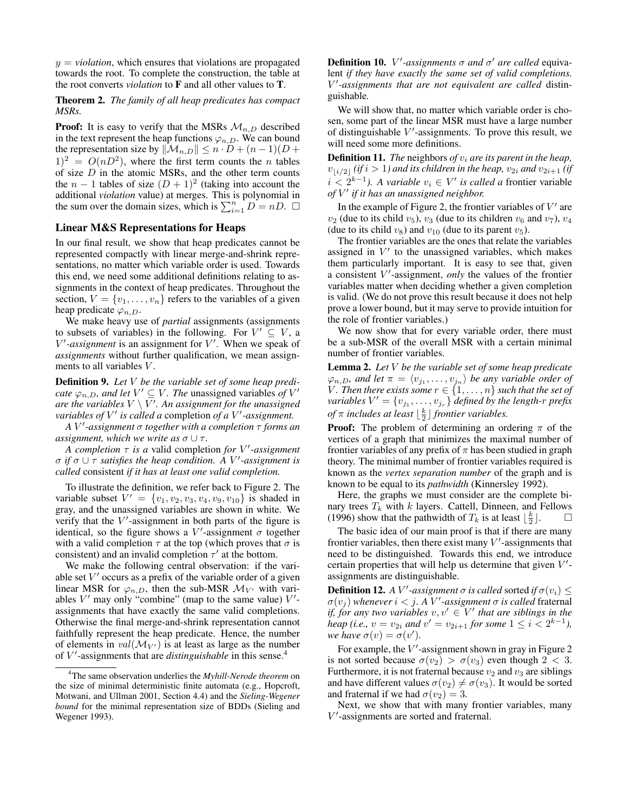$y = violation$ , which ensures that violations are propagated towards the root. To complete the construction, the table at the root converts *violation* to F and all other values to T.

Theorem 2. *The family of all heap predicates has compact MSRs.*

**Proof:** It is easy to verify that the MSRs  $\mathcal{M}_{n,D}$  described in the text represent the heap functions  $\varphi_{n,D}$ . We can bound the representation size by  $\|\mathcal{M}_{n,D}\| \leq n \cdot D + (n-1)(D +$  $(1)^2 = O(nD^2)$ , where the first term counts the *n* tables of size  $D$  in the atomic MSRs, and the other term counts the  $n - 1$  tables of size  $(D + 1)^2$  (taking into account the additional *violation* value) at merges. This is polynomial in the sum over the domain sizes, which is  $\sum_{i=1}^{n} D = nD$ .  $\Box$ 

### Linear M&S Representations for Heaps

In our final result, we show that heap predicates cannot be represented compactly with linear merge-and-shrink representations, no matter which variable order is used. Towards this end, we need some additional definitions relating to assignments in the context of heap predicates. Throughout the section,  $V = \{v_1, \ldots, v_n\}$  refers to the variables of a given heap predicate  $\varphi_{n,D}$ .

We make heavy use of *partial* assignments (assignments to subsets of variables) in the following. For  $V' \subseteq V$ , a  $V'$ -assignment is an assignment for  $V'$ . When we speak of *assignments* without further qualification, we mean assignments to all variables V.

Definition 9. *Let* V *be the variable set of some heap predicate*  $\varphi_{n,D}$ *, and let*  $V' \subseteq V$ *. The unassigned variables of*  $V'$ *are the variables* V \ V 0 *. An assignment for the unassigned variables of*  $V'$  *is called a* completion *of a*  $V'$ -*assignment.* 

*A* V 0 *-assignment* σ *together with a completion* τ *forms an assignment, which we write as*  $\sigma \cup \tau$ *.* 

*A completion* τ *is a* valid completion *for* V 0 *-assignment* σ *if* σ ∪ τ *satisfies the heap condition. A* V 0 *-assignment is called* consistent *if it has at least one valid completion.*

To illustrate the definition, we refer back to Figure 2. The variable subset  $V' = \{v_1, v_2, v_3, v_4, v_9, v_{10}\}$  is shaded in gray, and the unassigned variables are shown in white. We verify that the  $V'$ -assignment in both parts of the figure is identical, so the figure shows a  $V'$ -assignment  $\sigma$  together with a valid completion  $\tau$  at the top (which proves that  $\sigma$  is consistent) and an invalid completion  $\tau'$  at the bottom.

We make the following central observation: if the variable set  $V'$  occurs as a prefix of the variable order of a given linear MSR for  $\varphi_{n,D}$ , then the sub-MSR  $\mathcal{M}_{V'}$  with variables  $V'$  may only "combine" (map to the same value)  $V'$ assignments that have exactly the same valid completions. Otherwise the final merge-and-shrink representation cannot faithfully represent the heap predicate. Hence, the number of elements in  $val(\mathcal{M}_{V'})$  is at least as large as the number of V'-assignments that are *distinguishable* in this sense.<sup>4</sup>

**Definition 10.** *V'*-assignments σ and σ' are called equivalent *if they have exactly the same set of valid completions.* V 0 *-assignments that are not equivalent are called* distinguishable*.*

We will show that, no matter which variable order is chosen, some part of the linear MSR must have a large number of distinguishable  $V'$ -assignments. To prove this result, we will need some more definitions.

**Definition 11.** *The* neighbors *of*  $v_i$  *are its parent in the heap*,  $v_{\lfloor i/2\rfloor}$  *(if*  $i > 1$ *) and its children in the heap,*  $v_{2i}$  *and*  $v_{2i+1}$  *<i>(if i* <  $2^{k-1}$ *). A variable*  $v_i$  ∈ *V' is called a* frontier variable *of* V 0 *if it has an unassigned neighbor.*

In the example of Figure 2, the frontier variables of  $V'$  are  $v_2$  (due to its child  $v_5$ ),  $v_3$  (due to its children  $v_6$  and  $v_7$ ),  $v_4$ (due to its child  $v_8$ ) and  $v_{10}$  (due to its parent  $v_5$ ).

The frontier variables are the ones that relate the variables assigned in  $V'$  to the unassigned variables, which makes them particularly important. It is easy to see that, given a consistent V'-assignment, *only* the values of the frontier variables matter when deciding whether a given completion is valid. (We do not prove this result because it does not help prove a lower bound, but it may serve to provide intuition for the role of frontier variables.)

We now show that for every variable order, there must be a sub-MSR of the overall MSR with a certain minimal number of frontier variables.

Lemma 2. *Let* V *be the variable set of some heap predicate*  $\varphi_{n,D}$ , and let  $\pi = \langle v_{j_1}, \ldots, v_{j_n} \rangle$  be any variable order of *V*. Then there exists some  $r \in \{1, \ldots, n\}$  such that the set of variables  $V' = \{v_{j_1}, \ldots, v_{j_r}\}$  defined by the length-r prefix *of*  $\pi$  *includes at least*  $\lfloor \frac{k}{2} \rfloor$  *frontier variables.* 

**Proof:** The problem of determining an ordering  $\pi$  of the vertices of a graph that minimizes the maximal number of frontier variables of any prefix of  $\pi$  has been studied in graph theory. The minimal number of frontier variables required is known as the *vertex separation number* of the graph and is known to be equal to its *pathwidth* (Kinnersley 1992).

Here, the graphs we must consider are the complete binary trees  $T_k$  with  $k$  layers. Cattell, Dinneen, and Fellows (1996) show that the pathwidth of  $T_k$  is at least  $\lfloor \frac{k}{2} \rfloor$ .  $\Box$ 

The basic idea of our main proof is that if there are many frontier variables, then there exist many  $V'$ -assignments that need to be distinguished. Towards this end, we introduce certain properties that will help us determine that given  $V'$ assignments are distinguishable.

**Definition 12.** *A V*<sup>*'*</sup>-assignment  $\sigma$  *is called* sorted *if*  $\sigma(v_i) \leq$  $\sigma(v_j)$  whenever  $i < j$ . A  $V'$ -assignment  $\sigma$  is called fraternal *if, for any two variables*  $v, v' \in V'$  that are siblings in the *heap (i.e.,*  $v = v_{2i}$  *and*  $v' = v_{2i+1}$  *for some*  $1 \leq i < 2^{k-1}$ *), we have*  $\sigma(v) = \sigma(v')$ .

For example, the  $V'$ -assignment shown in gray in Figure 2 is not sorted because  $\sigma(v_2) > \sigma(v_3)$  even though  $2 < 3$ . Furthermore, it is not fraternal because  $v_2$  and  $v_3$  are siblings and have different values  $\sigma(v_2) \neq \sigma(v_3)$ . It would be sorted and fraternal if we had  $\sigma(v_2) = 3$ .

Next, we show that with many frontier variables, many  $V'$ -assignments are sorted and fraternal.

<sup>4</sup>The same observation underlies the *Myhill-Nerode theorem* on the size of minimal deterministic finite automata (e.g., Hopcroft, Motwani, and Ullman 2001, Section 4.4) and the *Sieling-Wegener bound* for the minimal representation size of BDDs (Sieling and Wegener 1993).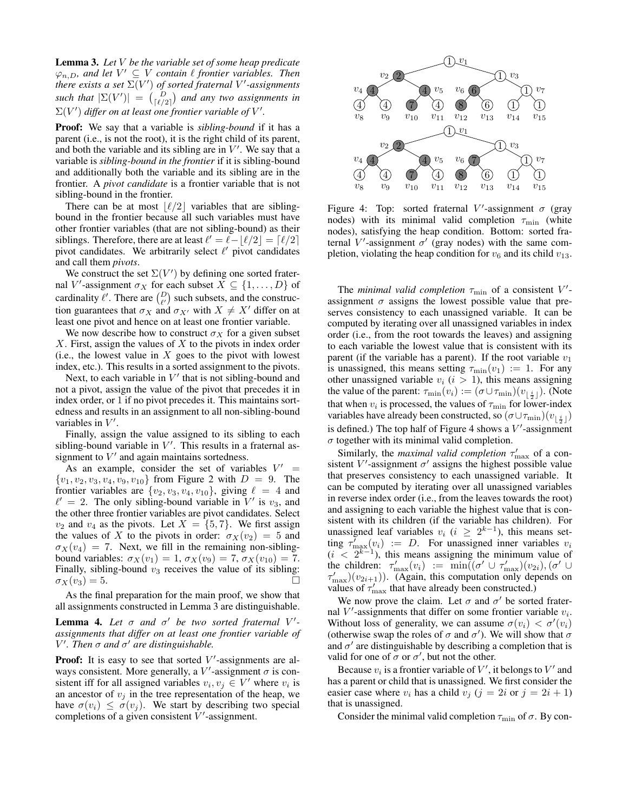Lemma 3. *Let* V *be the variable set of some heap predicate*  $\varphi_{n,D}$ , and let  $V' \subseteq V$  contain  $\ell$  frontier variables. Then there exists a set  $\Sigma(V')$  of sorted fraternal  $V'$ -assignments *such that*  $|\Sigma(V')| = {D \choose |{\ell/2}|}$  *and any two assignments in*  $\Sigma(V')$  differ on at least one frontier variable of V'.

Proof: We say that a variable is *sibling-bound* if it has a parent (i.e., is not the root), it is the right child of its parent, and both the variable and its sibling are in  $V'$ . We say that a variable is *sibling-bound in the frontier* if it is sibling-bound and additionally both the variable and its sibling are in the frontier. A *pivot candidate* is a frontier variable that is not sibling-bound in the frontier.

There can be at most  $\lfloor \ell/2 \rfloor$  variables that are siblingbound in the frontier because all such variables must have other frontier variables (that are not sibling-bound) as their siblings. Therefore, there are at least  $\ell' = \ell - \lfloor \ell/2 \rfloor = \lceil \ell/2 \rceil$ pivot candidates. We arbitrarily select  $\ell'$  pivot candidates and call them *pivots*.

We construct the set  $\Sigma(V')$  by defining one sorted fraternal V'-assignment  $\sigma_X$  for each subset  $X \subseteq \{1, \ldots, D\}$  of cardinality  $\ell'$ . There are  $\binom{D}{\ell'}$  such subsets, and the construction guarantees that  $\sigma_X$  and  $\sigma_{X'}$  with  $X \neq X'$  differ on at least one pivot and hence on at least one frontier variable.

We now describe how to construct  $\sigma_X$  for a given subset  $X$ . First, assign the values of  $X$  to the pivots in index order (i.e., the lowest value in  $X$  goes to the pivot with lowest index, etc.). This results in a sorted assignment to the pivots.

Next, to each variable in  $V'$  that is not sibling-bound and not a pivot, assign the value of the pivot that precedes it in index order, or 1 if no pivot precedes it. This maintains sortedness and results in an assignment to all non-sibling-bound variables in  $V'$ .

Finally, assign the value assigned to its sibling to each sibling-bound variable in  $V'$ . This results in a fraternal assignment to  $V'$  and again maintains sortedness.

As an example, consider the set of variables  $V' =$  ${v_1, v_2, v_3, v_4, v_9, v_{10}}$  from Figure 2 with  $D = 9$ . The frontier variables are  $\{v_2, v_3, v_4, v_{10}\}$ , giving  $\ell = 4$  and  $\ell' = 2$ . The only sibling-bound variable in V' is  $v_3$ , and the other three frontier variables are pivot candidates. Select  $v_2$  and  $v_4$  as the pivots. Let  $X = \{5, 7\}$ . We first assign the values of X to the pivots in order:  $\sigma_X(v_2) = 5$  and  $\sigma_X(v_4) = 7$ . Next, we fill in the remaining non-siblingbound variables:  $\sigma_X(v_1) = 1, \sigma_X(v_9) = 7, \sigma_X(v_{10}) = 7.$ Finally, sibling-bound  $v_3$  receives the value of its sibling:  $\sigma_X(v_3) = 5.$ 

As the final preparation for the main proof, we show that all assignments constructed in Lemma 3 are distinguishable.

**Lemma 4.** Let  $\sigma$  and  $\sigma'$  be two sorted fraternal V'*assignments that differ on at least one frontier variable of*  $V'$ . Then  $\sigma$  and  $\sigma'$  are distinguishable.

**Proof:** It is easy to see that sorted  $V'$ -assignments are always consistent. More generally, a  $V'$ -assignment  $\sigma$  is consistent iff for all assigned variables  $v_i, v_j \in V'$  where  $v_i$  is an ancestor of  $v_j$  in the tree representation of the heap, we have  $\sigma(v_i) \leq \sigma(v_i)$ . We start by describing two special completions of a given consistent  $V'$ -assignment.



Figure 4: Top: sorted fraternal V'-assignment  $\sigma$  (gray nodes) with its minimal valid completion  $\tau_{\min}$  (white nodes), satisfying the heap condition. Bottom: sorted fraternal V'-assignment  $\sigma'$  (gray nodes) with the same completion, violating the heap condition for  $v_6$  and its child  $v_{13}$ .

The *minimal valid completion*  $\tau_{\min}$  of a consistent  $V'$ assignment  $\sigma$  assigns the lowest possible value that preserves consistency to each unassigned variable. It can be computed by iterating over all unassigned variables in index order (i.e., from the root towards the leaves) and assigning to each variable the lowest value that is consistent with its parent (if the variable has a parent). If the root variable  $v_1$ is unassigned, this means setting  $\tau_{\min}(v_1) := 1$ . For any other unassigned variable  $v_i$  ( $i > 1$ ), this means assigning the value of the parent:  $\tau_{\min}(v_i) := (\sigma \cup \tau_{\min})(v_{\lfloor \frac{i}{2} \rfloor})$ . (Note that when  $v_i$  is processed, the values of  $\tau_{\min}$  for lower-index variables have already been constructed, so  $(\sigma \cup \tau_{\min})(v_{\lfloor \frac{i}{2} \rfloor})$ is defined.) The top half of Figure 4 shows a  $V'$ -assignment  $\sigma$  together with its minimal valid completion.

Similarly, the *maximal valid completion*  $\tau'_{\text{max}}$  of a consistent V'-assignment  $\sigma'$  assigns the highest possible value that preserves consistency to each unassigned variable. It can be computed by iterating over all unassigned variables in reverse index order (i.e., from the leaves towards the root) and assigning to each variable the highest value that is consistent with its children (if the variable has children). For unassigned leaf variables  $v_i$  ( $i \geq 2^{k-1}$ ), this means setting  $\tau'_{\text{max}}(v_i) := D$ . For unassigned inner variables  $v_i$  $(i < 2^{k-1})$ , this means assigning the minimum value of the children:  $\tau'_{\text{max}}(v_i) := \min((\sigma' \cup \tau'_{\text{max}})(v_{2i}), (\sigma' \cup \tau'_{\text{max}})(v_{2i+1}))$ . (Again, this computation only depends on values of  $\tau'_{\text{max}}$  that have already been constructed.)

We now prove the claim. Let  $\sigma$  and  $\sigma'$  be sorted fraternal  $V'$ -assignments that differ on some frontier variable  $v_i$ . Without loss of generality, we can assume  $\sigma(v_i) < \sigma'(v_i)$ (otherwise swap the roles of  $\sigma$  and  $\sigma'$ ). We will show that  $\sigma$ and  $\sigma'$  are distinguishable by describing a completion that is valid for one of  $\sigma$  or  $\sigma'$ , but not the other.

Because  $v_i$  is a frontier variable of  $V'$ , it belongs to  $V'$  and has a parent or child that is unassigned. We first consider the easier case where  $v_i$  has a child  $v_j$  ( $j = 2i$  or  $j = 2i + 1$ ) that is unassigned.

Consider the minimal valid completion  $\tau_{\min}$  of  $\sigma$ . By con-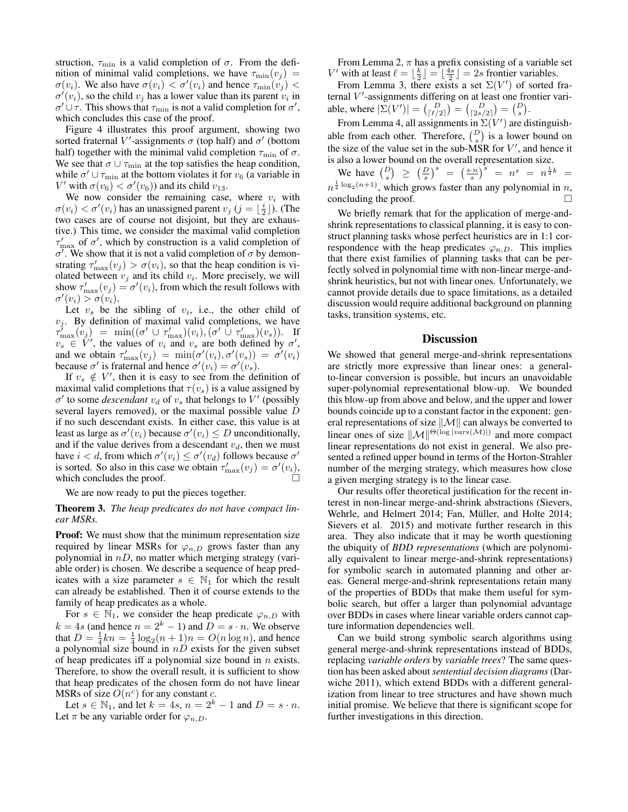struction,  $\tau_{\min}$  is a valid completion of  $\sigma$ . From the definition of minimal valid completions, we have  $\tau_{\min}(v_i)$  =  $\sigma(v_i)$ . We also have  $\sigma(v_i) < \sigma'(v_i)$  and hence  $\tau_{\min}(v_j)$  <  $\sigma'(v_i)$ , so the child  $v_j$  has a lower value than its parent  $v_i$  in  $\sigma' \cup \tau$ . This shows that  $\tau_{\min}$  is not a valid completion for  $\sigma'$ , which concludes this case of the proof.

Figure 4 illustrates this proof argument, showing two sorted fraternal V'-assignments  $\sigma$  (top half) and  $\sigma'$  (bottom half) together with the minimal valid completion  $\tau_{\min}$  of  $\sigma$ . We see that  $\sigma \cup \tau_{\min}$  at the top satisfies the heap condition, while  $\sigma' \cup \tau_{\min}$  at the bottom violates it for  $v_6$  (a variable in V' with  $\sigma(v_6) < \sigma'(v_6)$  and its child  $v_{13}$ .

We now consider the remaining case, where  $v_i$  with  $\sigma(v_i) < \sigma'(v_i)$  has an unassigned parent  $v_j$   $(j = \lfloor \frac{i}{2} \rfloor)$ . (The two cases are of course not disjoint, but they are exhaustive.) This time, we consider the maximal valid completion  $\tau'_{\text{max}}$  of  $\sigma'$ , which by construction is a valid completion of  $\sigma'$ . We show that it is not a valid completion of  $\sigma$  by demonstrating  $\tau'_{\text{max}}(v_j) > \sigma(v_i)$ , so that the heap condition is violated between  $v_j$  and its child  $v_i$ . More precisely, we will show  $\tau'_{\text{max}}(v_j) = \sigma'(v_i)$ , from which the result follows with  $\sigma'(v_i) > \sigma(v_i).$ 

Let  $v_s$  be the sibling of  $v_i$ , i.e., the other child of  $v_j$ . By definition of maximal valid completions, we have  $\tau'_{\max}(v_j) = \min((\sigma' \cup \tau'_{\max})(v_i), (\sigma' \cup \tau'_{\max})(v_s)).$  If  $v_s \in V'$ , the values of  $v_i$  and  $v_s$  are both defined by  $\sigma'$ , and we obtain  $\tau'_{\text{max}}(v_j) = \min(\sigma'(v_i), \sigma'(v_s)) = \sigma'(v_i)$ because  $\sigma'$  is fraternal and hence  $\sigma'(v_i) = \sigma'(v_s)$ .

If  $v_s \notin V'$ , then it is easy to see from the definition of maximal valid completions that  $\tau(v_s)$  is a value assigned by  $\sigma'$  to some *descendant*  $v_d$  of  $v_s$  that belongs to  $V'$  (possibly several layers removed), or the maximal possible value D if no such descendant exists. In either case, this value is at least as large as  $\sigma'(v_i)$  because  $\sigma'(v_i) \leq D$  unconditionally, and if the value derives from a descendant  $v_d$ , then we must have  $i < d$ , from which  $\sigma'(v_i) \leq \sigma'(v_d)$  follows because  $\sigma'$ is sorted. So also in this case we obtain  $\tau'_{\text{max}}(v_j) = \sigma'(v_i)$ , which concludes the proof.

We are now ready to put the pieces together.

### Theorem 3. *The heap predicates do not have compact linear MSRs.*

**Proof:** We must show that the minimum representation size required by linear MSRs for  $\varphi_{n,D}$  grows faster than any polynomial in  $nD$ , no matter which merging strategy (variable order) is chosen. We describe a sequence of heap predicates with a size parameter  $s \in \mathbb{N}_1$  for which the result can already be established. Then it of course extends to the family of heap predicates as a whole.

For  $s \in \mathbb{N}_1$ , we consider the heap predicate  $\varphi_{n,D}$  with  $k = 4s$  (and hence  $n = 2<sup>k</sup> - 1$ ) and  $D = s \cdot n$ . We observe that  $D = \frac{1}{4}kn = \frac{1}{4}\log_2(n+1)n = O(n \log n)$ , and hence a polynomial size bound in  $nD$  exists for the given subset of heap predicates iff a polynomial size bound in  $n$  exists. Therefore, to show the overall result, it is sufficient to show that heap predicates of the chosen form do not have linear MSRs of size  $O(n^c)$  for any constant c.

Let  $s \in \mathbb{N}_1$ , and let  $k = 4s$ ,  $n = 2^k - 1$  and  $D = s \cdot n$ . Let  $\pi$  be any variable order for  $\varphi_{n,D}$ .

From Lemma 2,  $\pi$  has a prefix consisting of a variable set V' with at least  $\ell = \lfloor \frac{k}{2} \rfloor = \lfloor \frac{4s}{2} \rfloor = 2s$  frontier variables.

From Lemma 3, there exists a set  $\Sigma(V')$  of sorted fraternal  $V'$ -assignments differing on at least one frontier variable, where  $|\Sigma(V')| = {D \choose \lceil \ell/2 \rceil} = {D \choose \lceil 2s/2 \rceil} = {D \choose s}.$ 

From Lemma 4, all assignments in  $\Sigma(V')$  are distinguishable from each other. Therefore,  $\binom{D}{s}$  is a lower bound on the size of the value set in the sub-MSR for  $V'$ , and hence it is also a lower bound on the overall representation size.

We have  $\binom{D}{s} \geq \left(\frac{D}{s}\right)^s = \left(\frac{s \cdot n}{s}\right)^s = n^s = n^{\frac{1}{4}k} =$  $n^{\frac{1}{4} \log_2(n+1)}$ , which grows faster than any polynomial in n, concluding the proof.  $\Box$ 

We briefly remark that for the application of merge-andshrink representations to classical planning, it is easy to construct planning tasks whose perfect heuristics are in 1:1 correspondence with the heap predicates  $\varphi_{n,D}$ . This implies that there exist families of planning tasks that can be perfectly solved in polynomial time with non-linear merge-andshrink heuristics, but not with linear ones. Unfortunately, we cannot provide details due to space limitations, as a detailed discussion would require additional background on planning tasks, transition systems, etc.

### **Discussion**

We showed that general merge-and-shrink representations are strictly more expressive than linear ones: a generalto-linear conversion is possible, but incurs an unavoidable super-polynomial representational blow-up. We bounded this blow-up from above and below, and the upper and lower bounds coincide up to a constant factor in the exponent: general representations of size  $\|\mathcal{M}\|$  can always be converted to linear ones of size  $\|\mathcal{M}\|^{ \Theta(\log |vars(\mathcal{M})|)}$  and more compact linear representations do not exist in general. We also presented a refined upper bound in terms of the Horton-Strahler number of the merging strategy, which measures how close a given merging strategy is to the linear case.

Our results offer theoretical justification for the recent interest in non-linear merge-and-shrink abstractions (Sievers, Wehrle, and Helmert 2014; Fan, Müller, and Holte 2014; Sievers et al. 2015) and motivate further research in this area. They also indicate that it may be worth questioning the ubiquity of *BDD representations* (which are polynomially equivalent to linear merge-and-shrink representations) for symbolic search in automated planning and other areas. General merge-and-shrink representations retain many of the properties of BDDs that make them useful for symbolic search, but offer a larger than polynomial advantage over BDDs in cases where linear variable orders cannot capture information dependencies well.

Can we build strong symbolic search algorithms using general merge-and-shrink representations instead of BDDs, replacing *variable orders* by *variable trees*? The same question has been asked about*sentential decision diagrams* (Darwiche 2011), which extend BDDs with a different generalization from linear to tree structures and have shown much initial promise. We believe that there is significant scope for further investigations in this direction.